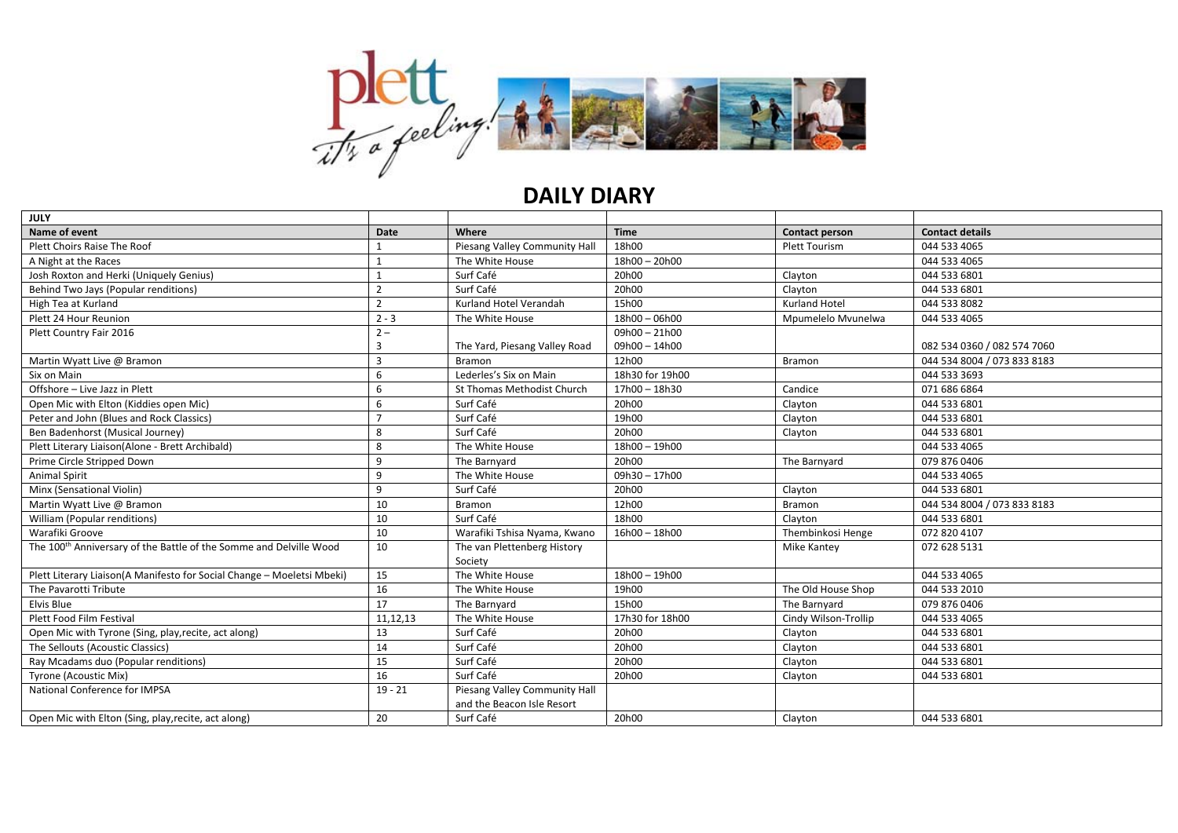

## **DAILY DIARY**

| <b>JULY</b>                                                                    |                |                               |                 |                      |                             |
|--------------------------------------------------------------------------------|----------------|-------------------------------|-----------------|----------------------|-----------------------------|
| Name of event                                                                  | Date           | Where                         | <b>Time</b>     | Contact person       | <b>Contact details</b>      |
| Plett Choirs Raise The Roof                                                    |                | Piesang Valley Community Hall | 18h00           | <b>Plett Tourism</b> | 044 533 4065                |
| A Night at the Races                                                           |                | The White House               | 18h00 - 20h00   |                      | 044 533 4065                |
| Josh Roxton and Herki (Uniquely Genius)                                        |                | Surf Café                     | 20h00           | Clayton              | 044 533 6801                |
| Behind Two Jays (Popular renditions)                                           | $\mathcal{P}$  | Surf Café                     | 20h00           | Clayton              | 044 533 6801                |
| High Tea at Kurland                                                            | $\overline{2}$ | Kurland Hotel Verandah        | 15h00           | <b>Kurland Hotel</b> | 044 533 8082                |
| Plett 24 Hour Reunion                                                          | $2 - 3$        | The White House               | 18h00 - 06h00   | Mpumelelo Mvunelwa   | 044 533 4065                |
| Plett Country Fair 2016                                                        | $2 -$          |                               | $09h00 - 21h00$ |                      |                             |
|                                                                                | 3              | The Yard, Piesang Valley Road | 09h00 - 14h00   |                      | 082 534 0360 / 082 574 7060 |
| Martin Wyatt Live @ Bramon                                                     | 3              | Bramon                        | 12h00           | <b>Bramon</b>        | 044 534 8004 / 073 833 8183 |
| Six on Main                                                                    | 6              | Lederles's Six on Main        | 18h30 for 19h00 |                      | 044 533 3693                |
| Offshore - Live Jazz in Plett                                                  | 6              | St Thomas Methodist Church    | 17h00 - 18h30   | Candice              | 071 686 6864                |
| Open Mic with Elton (Kiddies open Mic)                                         | 6              | Surf Café                     | 20h00           | Clayton              | 044 533 6801                |
| Peter and John (Blues and Rock Classics)                                       |                | Surf Café                     | 19h00           | Clayton              | 044 533 6801                |
| Ben Badenhorst (Musical Journey)                                               | 8              | Surf Café                     | 20h00           | Clayton              | 044 533 6801                |
| Plett Literary Liaison(Alone - Brett Archibald)                                | 8              | The White House               | 18h00 - 19h00   |                      | 044 533 4065                |
| Prime Circle Stripped Down                                                     | 9              | The Barnyard                  | 20h00           | The Barnyard         | 079 876 0406                |
| <b>Animal Spirit</b>                                                           | 9              | The White House               | 09h30-17h00     |                      | 044 533 4065                |
| Minx (Sensational Violin)                                                      | 9              | Surf Café                     | 20h00           | Clayton              | 044 533 6801                |
| Martin Wyatt Live @ Bramon                                                     | 10             | Bramon                        | 12h00           | <b>Bramon</b>        | 044 534 8004 / 073 833 8183 |
| William (Popular renditions)                                                   | 10             | Surf Café                     | 18h00           | Clayton              | 044 533 6801                |
| Warafiki Groove                                                                | 10             | Warafiki Tshisa Nyama, Kwano  | 16h00 - 18h00   | Thembinkosi Henge    | 072 820 4107                |
| The 100 <sup>th</sup> Anniversary of the Battle of the Somme and Delville Wood | 10             | The van Plettenberg History   |                 | <b>Mike Kantey</b>   | 072 628 5131                |
|                                                                                |                | Society                       |                 |                      |                             |
| Plett Literary Liaison(A Manifesto for Social Change - Moeletsi Mbeki)         | 15             | The White House               | 18h00 - 19h00   |                      | 044 533 4065                |
| The Pavarotti Tribute                                                          | 16             | The White House               | 19h00           | The Old House Shop   | 044 533 2010                |
| Elvis Blue                                                                     | 17             | The Barnyard                  | 15h00           | The Barnyard         | 079 876 0406                |
| Plett Food Film Festival                                                       | 11,12,13       | The White House               | 17h30 for 18h00 | Cindy Wilson-Trollip | 044 533 4065                |
| Open Mic with Tyrone (Sing, play, recite, act along)                           | 13             | Surf Café                     | 20h00           | Clayton              | 044 533 6801                |
| The Sellouts (Acoustic Classics)                                               | 14             | Surf Café                     | 20h00           | Clayton              | 044 533 6801                |
| Ray Mcadams duo (Popular renditions)                                           | 15             | Surf Café                     | 20h00           | Clayton              | 044 533 6801                |
| Tyrone (Acoustic Mix)                                                          | 16             | Surf Café                     | 20h00           | Clayton              | 044 533 6801                |
| National Conference for IMPSA                                                  | $19 - 21$      | Piesang Valley Community Hall |                 |                      |                             |
|                                                                                |                | and the Beacon Isle Resort    |                 |                      |                             |
| Open Mic with Elton (Sing, play, recite, act along)                            | 20             | Surf Café                     | 20h00           | Clayton              | 044 533 6801                |